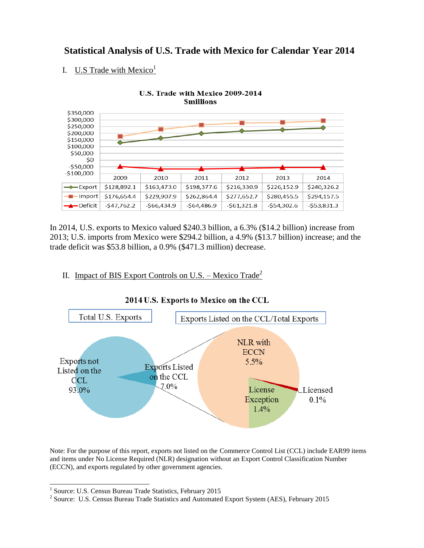# **Statistical Analysis of U.S. Trade with Mexico for Calendar Year 2014**

## I. U.S Trade with Mexico<sup>1</sup>



In 2014, U.S. exports to Mexico valued \$240.3 billion, a 6.3% (\$14.2 billion) increase from 2013; U.S. imports from Mexico were \$294.2 billion, a 4.9% (\$13.7 billion) increase; and the trade deficit was \$53.8 billion, a 0.9% (\$471.3 million) decrease.

## II. Impact of BIS Export Controls on U.S. – Mexico Trade<sup>2</sup>



#### 2014 U.S. Exports to Mexico on the CCL

Note: For the purpose of this report, exports not listed on the Commerce Control List (CCL) include EAR99 items and items under No License Required (NLR) designation without an Export Control Classification Number (ECCN), and exports regulated by other government agencies.

 1 Source: U.S. Census Bureau Trade Statistics, February 2015

<sup>&</sup>lt;sup>2</sup> Source: U.S. Census Bureau Trade Statistics and Automated Export System (AES), February 2015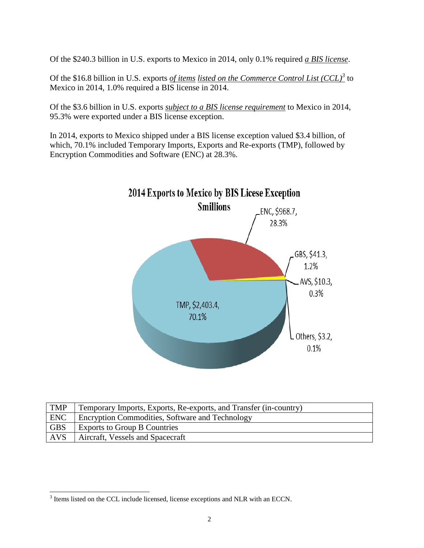Of the \$240.3 billion in U.S. exports to Mexico in 2014, only 0.1% required *a BIS license*.

Of the \$16.8 billion in U.S. exports *of items listed on the Commerce Control List (CCL)*<sup>3</sup> to Mexico in 2014, 1.0% required a BIS license in 2014.

Of the \$3.6 billion in U.S. exports *subject to a BIS license requirement* to Mexico in 2014, 95.3% were exported under a BIS license exception.

In 2014, exports to Mexico shipped under a BIS license exception valued \$3.4 billion, of which, 70.1% included Temporary Imports, Exports and Re-exports (TMP), followed by Encryption Commodities and Software (ENC) at 28.3%.



| <b>TMP</b> | Temporary Imports, Exports, Re-exports, and Transfer (in-country) |
|------------|-------------------------------------------------------------------|
| <b>ENC</b> | <b>Encryption Commodities, Software and Technology</b>            |
| <b>GBS</b> | <b>Exports to Group B Countries</b>                               |
| <b>AVS</b> | Aircraft, Vessels and Spacecraft                                  |

<sup>&</sup>lt;sup>3</sup> Items listed on the CCL include licensed, license exceptions and NLR with an ECCN.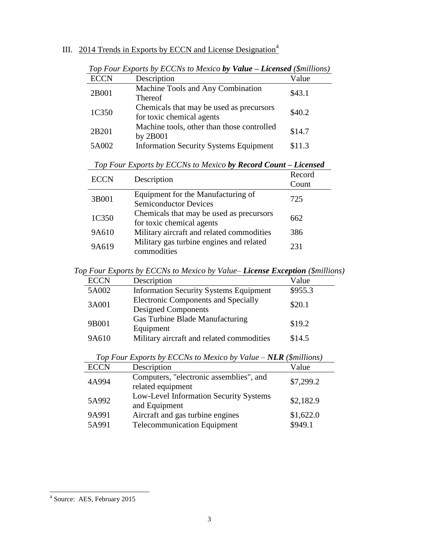### III. 2014 Trends in Exports by ECCN and License Designation<sup>4</sup>

| <b>ECCN</b> | Description                                   | Value  |  |
|-------------|-----------------------------------------------|--------|--|
| 2B001       | Machine Tools and Any Combination             | \$43.1 |  |
|             | <b>Thereof</b>                                |        |  |
| 1C350       | Chemicals that may be used as precursors      | \$40.2 |  |
|             | for toxic chemical agents                     |        |  |
| 2B201       | Machine tools, other than those controlled    | \$14.7 |  |
|             | by 2B001                                      |        |  |
| 5A002       | <b>Information Security Systems Equipment</b> | \$11.3 |  |

*Top Four Exports by ECCNs to Mexico by Value – Licensed (\$millions)*

| <b>ECCN</b> | Description                                                           | Record<br>Count |
|-------------|-----------------------------------------------------------------------|-----------------|
| 3B001       | Equipment for the Manufacturing of<br><b>Semiconductor Devices</b>    | 725             |
| 1C350       | Chemicals that may be used as precursors<br>for toxic chemical agents | 662             |
| 9A610       | Military aircraft and related commodities                             | 386             |
| 9A619       | Military gas turbine engines and related<br>commodities               | 231             |

*Top Four Exports by ECCNs to Mexico by Record Count – Licensed*

*Top Four Exports by ECCNs to Mexico by Value– License Exception (\$millions)*

| <b>ECCN</b> | Description                                                              | Value   |
|-------------|--------------------------------------------------------------------------|---------|
| 5A002       | <b>Information Security Systems Equipment</b>                            | \$955.3 |
| 3A001       | <b>Electronic Components and Specially</b><br><b>Designed Components</b> | \$20.1  |
| 9B001       | Gas Turbine Blade Manufacturing<br>Equipment                             | \$19.2  |
| 9A610       | Military aircraft and related commodities                                | \$14.5  |

| <b>ECCN</b> | Description                                                  | Value     |
|-------------|--------------------------------------------------------------|-----------|
| 4A994       | Computers, "electronic assemblies", and<br>related equipment | \$7,299.2 |
| 5A992       | Low-Level Information Security Systems<br>and Equipment      | \$2,182.9 |
| 9A991       | Aircraft and gas turbine engines                             | \$1,622.0 |
| 5A991       | <b>Telecommunication Equipment</b>                           | \$949.1   |

*Top Four Exports by ECCNs to Mexico by Value – NLR (\$millions)*

 4 Source: AES, February 2015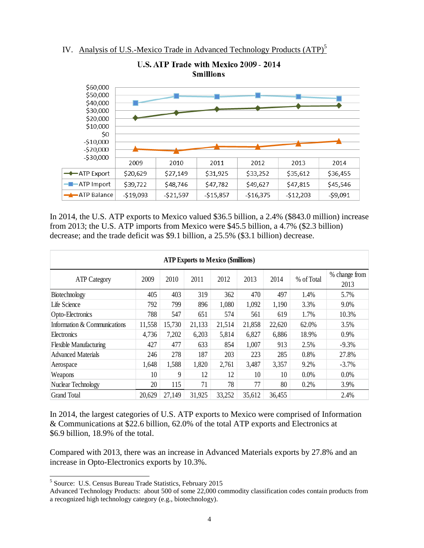



In 2014, the U.S. ATP exports to Mexico valued \$36.5 billion, a 2.4% (\$843.0 million) increase from 2013; the U.S. ATP imports from Mexico were \$45.5 billion, a 4.7% (\$2.3 billion) decrease; and the trade deficit was \$9.1 billion, a 25.5% (\$3.1 billion) decrease.

| <b>ATP Exports to Mexico (\$millions)</b> |        |        |        |        |        |        |            |               |
|-------------------------------------------|--------|--------|--------|--------|--------|--------|------------|---------------|
| <b>ATP Category</b>                       | 2009   | 2010   | 2011   | 2012   | 2013   | 2014   | % of Total | % change from |
| Biotechnology                             | 405    | 403    | 319    | 362    | 470    | 497    | 1.4%       | 2013<br>5.7%  |
| Life Science                              | 792    | 799    | 896    | 1,080  | 1,092  | 1,190  | 3.3%       | 9.0%          |
| Opto-Electronics                          | 788    | 547    | 651    | 574    | 561    | 619    | 1.7%       | 10.3%         |
| Information & Communications              | 11,558 | 15,730 | 21,133 | 21,514 | 21,858 | 22,620 | 62.0%      | 3.5%          |
| <b>Electronics</b>                        | 4,736  | 7,202  | 6,203  | 5,814  | 6,827  | 6,886  | 18.9%      | 0.9%          |
| <b>Flexible Manufacturing</b>             | 427    | 477    | 633    | 854    | 1,007  | 913    | 2.5%       | $-9.3%$       |
| <b>Advanced Materials</b>                 | 246    | 278    | 187    | 203    | 223    | 285    | 0.8%       | 27.8%         |
| Aerospace                                 | 1,648  | 1,588  | 1,820  | 2,761  | 3,487  | 3,357  | 9.2%       | $-3.7%$       |
| Weapons                                   | 10     | 9      | 12     | 12     | 10     | 10     | 0.0%       | 0.0%          |
| Nuclear Technology                        | 20     | 115    | 71     | 78     | 77     | 80     | 0.2%       | 3.9%          |
| <b>Grand Total</b>                        | 20,629 | 27,149 | 31,925 | 33,252 | 35,612 | 36,455 |            | 2.4%          |

In 2014, the largest categories of U.S. ATP exports to Mexico were comprised of Information & Communications at \$22.6 billion, 62.0% of the total ATP exports and Electronics at \$6.9 billion, 18.9% of the total.

Compared with 2013, there was an increase in Advanced Materials exports by 27.8% and an increase in Opto-Electronics exports by 10.3%.

 $\overline{a}$ 

<sup>&</sup>lt;sup>5</sup> Source: U.S. Census Bureau Trade Statistics, February 2015

Advanced Technology Products: about 500 of some 22,000 commodity classification codes contain products from a recognized high technology category (e.g., biotechnology).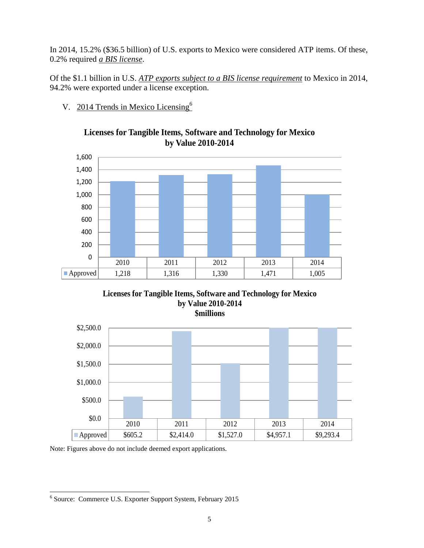In 2014, 15.2% (\$36.5 billion) of U.S. exports to Mexico were considered ATP items. Of these, 0.2% required *a BIS license*.

Of the \$1.1 billion in U.S. *ATP exports subject to a BIS license requirement* to Mexico in 2014, 94.2% were exported under a license exception.

V. 2014 Trends in Mexico Licensing<sup>6</sup>



## **Licenses for Tangible Items, Software and Technology for Mexico by Value 2010-2014**





Note: Figures above do not include deemed export applications.

 6 Source: Commerce U.S. Exporter Support System, February 2015